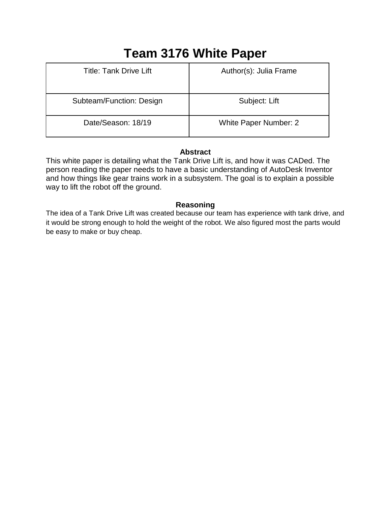# **Team 3176 White Paper**

| <b>Title: Tank Drive Lift</b> | Author(s): Julia Frame       |
|-------------------------------|------------------------------|
| Subteam/Function: Design      | Subject: Lift                |
| Date/Season: 18/19            | <b>White Paper Number: 2</b> |

## **Abstract**

This white paper is detailing what the Tank Drive Lift is, and how it was CADed. The person reading the paper needs to have a basic understanding of AutoDesk Inventor and how things like gear trains work in a subsystem. The goal is to explain a possible way to lift the robot off the ground.

### **Reasoning**

The idea of a Tank Drive Lift was created because our team has experience with tank drive, and it would be strong enough to hold the weight of the robot. We also figured most the parts would be easy to make or buy cheap.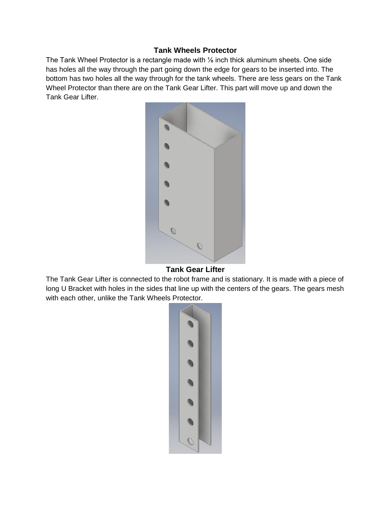#### **Tank Wheels Protector**

The Tank Wheel Protector is a rectangle made with <sup>1/</sup><sub>8</sub> inch thick aluminum sheets. One side has holes all the way through the part going down the edge for gears to be inserted into. The bottom has two holes all the way through for the tank wheels. There are less gears on the Tank Wheel Protector than there are on the Tank Gear Lifter. This part will move up and down the Tank Gear Lifter.



#### **Tank Gear Lifter**

The Tank Gear Lifter is connected to the robot frame and is stationary. It is made with a piece of long U Bracket with holes in the sides that line up with the centers of the gears. The gears mesh with each other, unlike the Tank Wheels Protector.

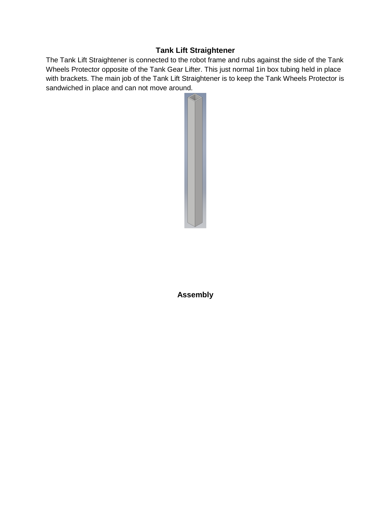## **Tank Lift Straightener**

The Tank Lift Straightener is connected to the robot frame and rubs against the side of the Tank Wheels Protector opposite of the Tank Gear Lifter. This just normal 1in box tubing held in place with brackets. The main job of the Tank Lift Straightener is to keep the Tank Wheels Protector is sandwiched in place and can not move around.



**Assembly**